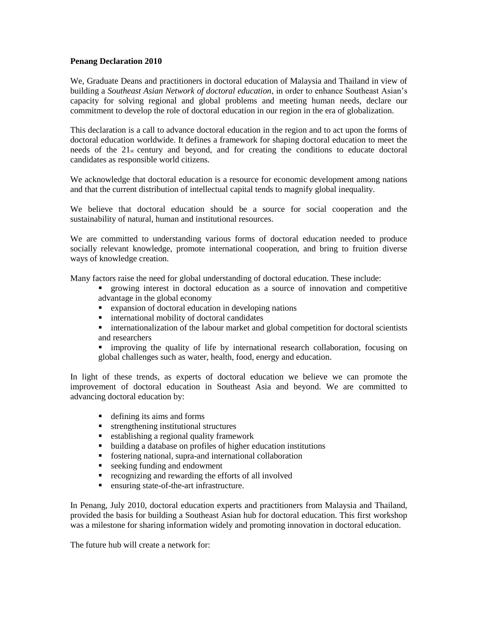### **Penang Declaration 2010**

We, Graduate Deans and practitioners in doctoral education of Malaysia and Thailand in view of building a *Southeast Asian Network of doctoral education*, in order to enhance Southeast Asian's capacity for solving regional and global problems and meeting human needs, declare our commitment to develop the role of doctoral education in our region in the era of globalization.

This declaration is a call to advance doctoral education in the region and to act upon the forms of doctoral education worldwide. It defines a framework for shaping doctoral education to meet the needs of the  $21<sub>st</sub>$  century and beyond, and for creating the conditions to educate doctoral candidates as responsible world citizens.

We acknowledge that doctoral education is a resource for economic development among nations and that the current distribution of intellectual capital tends to magnify global inequality.

We believe that doctoral education should be a source for social cooperation and the sustainability of natural, human and institutional resources.

We are committed to understanding various forms of doctoral education needed to produce socially relevant knowledge, promote international cooperation, and bring to fruition diverse ways of knowledge creation.

Many factors raise the need for global understanding of doctoral education. These include:

- growing interest in doctoral education as a source of innovation and competitive advantage in the global economy
- expansion of doctoral education in developing nations
- **i** international mobility of doctoral candidates
- **Exercise internationalization of the labour market and global competition for doctoral scientists** and researchers
- improving the quality of life by international research collaboration, focusing on global challenges such as water, health, food, energy and education.

In light of these trends, as experts of doctoral education we believe we can promote the improvement of doctoral education in Southeast Asia and beyond. We are committed to advancing doctoral education by:

- defining its aims and forms
- **strengthening institutional structures**
- establishing a regional quality framework
- building a database on profiles of higher education institutions
- fostering national, supra-and international collaboration
- seeking funding and endowment
- **•** recognizing and rewarding the efforts of all involved
- ensuring state-of-the-art infrastructure.

In Penang, July 2010, doctoral education experts and practitioners from Malaysia and Thailand, provided the basis for building a Southeast Asian hub for doctoral education. This first workshop was a milestone for sharing information widely and promoting innovation in doctoral education.

The future hub will create a network for: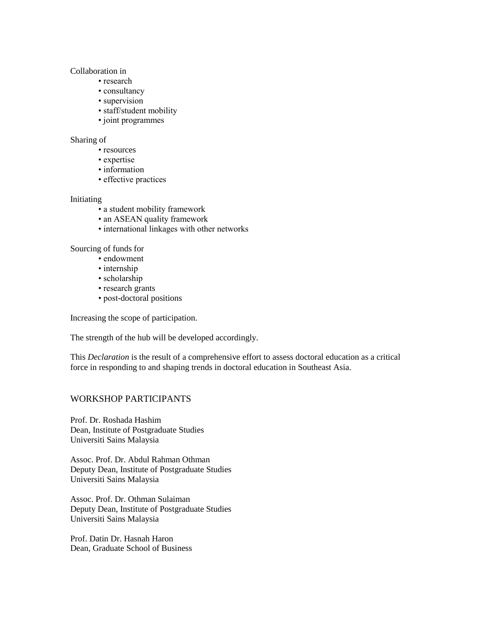### Collaboration in

- research
- consultancy
- supervision
- staff/student mobility
- joint programmes

#### Sharing of

- resources
- expertise
- information
- effective practices

### Initiating

- a student mobility framework
- an ASEAN quality framework
- international linkages with other networks

## Sourcing of funds for

- endowment
- internship
- scholarship
- research grants
- post-doctoral positions

Increasing the scope of participation.

The strength of the hub will be developed accordingly.

This *Declaration* is the result of a comprehensive effort to assess doctoral education as a critical force in responding to and shaping trends in doctoral education in Southeast Asia.

# WORKSHOP PARTICIPANTS

Prof. Dr. Roshada Hashim Dean, Institute of Postgraduate Studies Universiti Sains Malaysia

Assoc. Prof. Dr. Abdul Rahman Othman Deputy Dean, Institute of Postgraduate Studies Universiti Sains Malaysia

Assoc. Prof. Dr. Othman Sulaiman Deputy Dean, Institute of Postgraduate Studies Universiti Sains Malaysia

Prof. Datin Dr. Hasnah Haron Dean, Graduate School of Business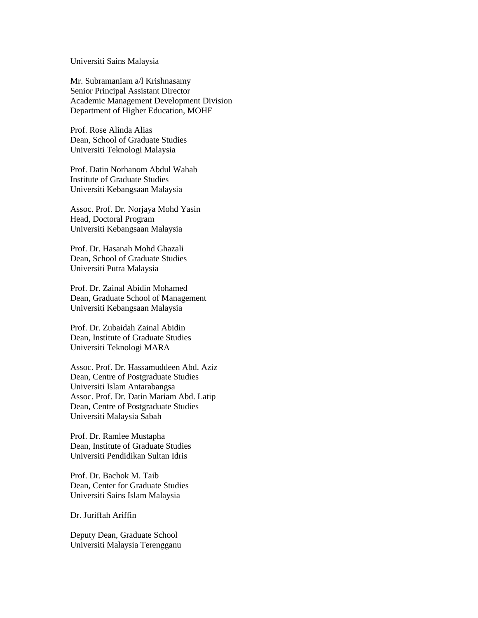Universiti Sains Malaysia

Mr. Subramaniam a/l Krishnasamy Senior Principal Assistant Director Academic Management Development Division Department of Higher Education, MOHE

Prof. Rose Alinda Alias Dean, School of Graduate Studies Universiti Teknologi Malaysia

Prof. Datin Norhanom Abdul Wahab Institute of Graduate Studies Universiti Kebangsaan Malaysia

Assoc. Prof. Dr. Norjaya Mohd Yasin Head, Doctoral Program Universiti Kebangsaan Malaysia

Prof. Dr. Hasanah Mohd Ghazali Dean, School of Graduate Studies Universiti Putra Malaysia

Prof. Dr. Zainal Abidin Mohamed Dean, Graduate School of Management Universiti Kebangsaan Malaysia

Prof. Dr. Zubaidah Zainal Abidin Dean, Institute of Graduate Studies Universiti Teknologi MARA

Assoc. Prof. Dr. Hassamuddeen Abd. Aziz Dean, Centre of Postgraduate Studies Universiti Islam Antarabangsa Assoc. Prof. Dr. Datin Mariam Abd. Latip Dean, Centre of Postgraduate Studies Universiti Malaysia Sabah

Prof. Dr. Ramlee Mustapha Dean, Institute of Graduate Studies Universiti Pendidikan Sultan Idris

Prof. Dr. Bachok M. Taib Dean, Center for Graduate Studies Universiti Sains Islam Malaysia

Dr. Juriffah Ariffin

Deputy Dean, Graduate School Universiti Malaysia Terengganu